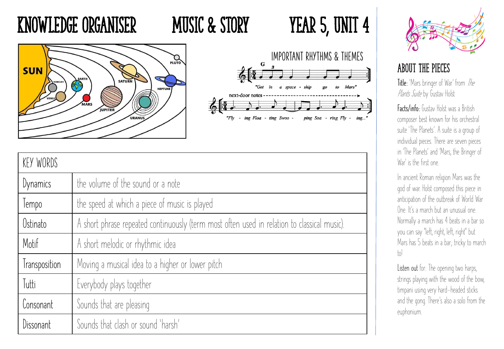## KNOWLEDGE ORGANISER MUSIC & STORY YEAR 5, UNIT 4







| KEY WORDS     |                                                                                             |
|---------------|---------------------------------------------------------------------------------------------|
| Dynamics      | the volume of the sound or a note                                                           |
| Tempo         | the speed at which a piece of music is played                                               |
| Ostinato      | A short phrase repeated continuously (term most often used in relation to classical music). |
| Motif         | A short melodic or rhythmic idea                                                            |
| Transposition | Moving a musical idea to a higher or lower pitch                                            |
| Tutti         | Everybody plays together                                                                    |
| Consonant     | Sounds that are pleasing                                                                    |
| Dissonant     | Sounds that clash or sound 'harsh'                                                          |



### About THE PIECES

Title: 'Mars bringer of War' from The Plants Suite by Gustav Holst

Facts/info: Gustav Holst was a British composer best known for his orchestral suite 'The Planets'. A suite is a group of individual pieces. There are seven pieces in 'The Planets' and 'Mars, the Bringer of War' is the first one.

In ancient Roman religion Mars was the god of war. Holst composed this piece in anticipation of the outbreak of World War One. It's a march but an unusual one. Normally a march has 4 beats in a bar so you can say "left, right, left, right" but Mars has 5 beats in a bar; tricky to march  $\lfloor 0 \rfloor$ 

**Listen out** for: The opening two harps, strings playing with the wood of the bow, timpani using very hard-headed sticks and the gong. There's also a solo from the euphonium.